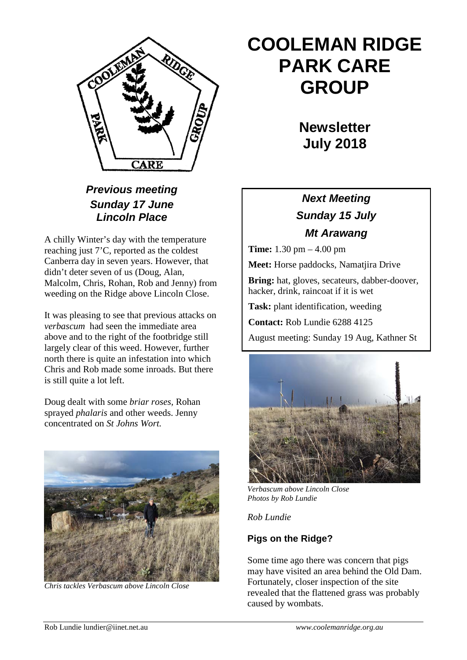

# *Previous meeting Sunday 17 June Lincoln Place*

A chilly Winter's day with the temperature reaching just 7'C, reported as the coldest Canberra day in seven years. However, that didn't deter seven of us (Doug, Alan, Malcolm, Chris, Rohan, Rob and Jenny) from weeding on the Ridge above Lincoln Close.

It was pleasing to see that previous attacks on *verbascum* had seen the immediate area above and to the right of the footbridge still largely clear of this weed. However, further north there is quite an infestation into which Chris and Rob made some inroads. But there is still quite a lot left.

Doug dealt with some *briar roses,* Rohan sprayed *phalaris* and other weeds. Jenny concentrated on *St Johns Wort.*



*Chris tackles Verbascum above Lincoln Close*

# **COOLEMAN RIDGE PARK CARE GROUP**

**Newsletter July 2018** 

# *Next Meeting Sunday 15 July Mt Arawang*

**Time:** 1.30 pm – 4.00 pm

**Meet:** Horse paddocks, Namatjira Drive

**Bring:** hat, gloves, secateurs, dabber-doover, hacker, drink, raincoat if it is wet

**Task:** plant identification, weeding

**Contact:** Rob Lundie 6288 4125

August meeting: Sunday 19 Aug, Kathner St



*Verbascum above Lincoln Close Photos by Rob Lundie*

*Rob Lundie*

## **Pigs on the Ridge?**

Some time ago there was concern that pigs may have visited an area behind the Old Dam. Fortunately, closer inspection of the site revealed that the flattened grass was probably caused by wombats.